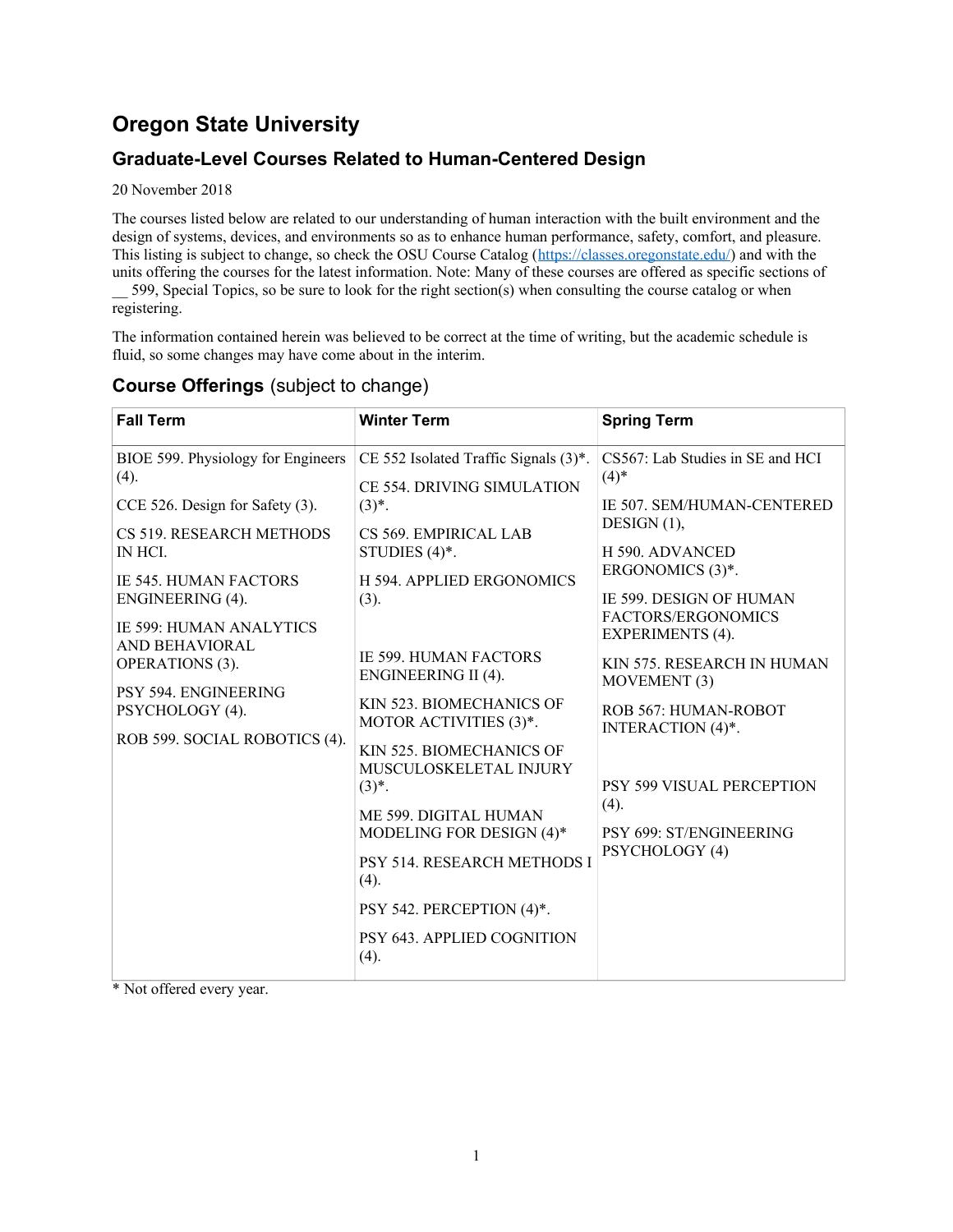# **Oregon State University**

## **Graduate-Level Courses Related to Human-Centered Design**

20 November 2018

The courses listed below are related to our understanding of human interaction with the built environment and the design of systems, devices, and environments so as to enhance human performance, safety, comfort, and pleasure. This listing is subject to change, so check the OSU Course Catalog (https://classes.oregonstate.edu/) and with the units offering the courses for the latest information. Note: Many of these courses are offered as specific sections of 599, Special Topics, so be sure to look for the right section(s) when consulting the course catalog or when

registering.

The information contained herein was believed to be correct at the time of writing, but the academic schedule is fluid, so some changes may have come about in the interim.

| <b>Fall Term</b>                                 | <b>Winter Term</b>                                                         | <b>Spring Term</b>                                          |
|--------------------------------------------------|----------------------------------------------------------------------------|-------------------------------------------------------------|
| BIOE 599. Physiology for Engineers<br>(4).       | CE 552 Isolated Traffic Signals (3)*.<br><b>CE 554. DRIVING SIMULATION</b> | CS567: Lab Studies in SE and HCI<br>$(4)$ *                 |
| CCE 526. Design for Safety (3).                  | $(3)*$ .                                                                   | <b>IE 507. SEM/HUMAN-CENTERED</b><br>DESIGN $(1)$ ,         |
| CS 519. RESEARCH METHODS<br>IN HCI.              | CS 569. EMPIRICAL LAB<br>STUDIES $(4)$ <sup>*</sup> .                      | H 590. ADVANCED<br>ERGONOMICS (3)*.                         |
| <b>IE 545. HUMAN FACTORS</b><br>ENGINEERING (4). | <b>H 594. APPLIED ERGONOMICS</b><br>(3).                                   | <b>IE 599. DESIGN OF HUMAN</b><br><b>FACTORS/ERGONOMICS</b> |
| <b>IE 599: HUMAN ANALYTICS</b><br>AND BEHAVIORAL | <b>IE 599. HUMAN FACTORS</b>                                               | <b>EXPERIMENTS (4).</b>                                     |
| <b>OPERATIONS</b> (3).<br>PSY 594. ENGINEERING   | <b>ENGINEERING II (4).</b><br>KIN 523. BIOMECHANICS OF                     | KIN 575. RESEARCH IN HUMAN<br>MOVEMENT (3)                  |
| PSYCHOLOGY (4).<br>ROB 599. SOCIAL ROBOTICS (4). | MOTOR ACTIVITIES (3)*.                                                     | ROB 567: HUMAN-ROBOT<br>INTERACTION (4)*.                   |
|                                                  | KIN 525. BIOMECHANICS OF<br>MUSCULOSKELETAL INJURY<br>$(3)^{*}.$           | PSY 599 VISUAL PERCEPTION                                   |
|                                                  | ME 599. DIGITAL HUMAN<br>MODELING FOR DESIGN (4)*                          | (4).<br>PSY 699: ST/ENGINEERING                             |
|                                                  | PSY 514. RESEARCH METHODS I<br>(4).                                        | PSYCHOLOGY (4)                                              |
|                                                  | PSY 542. PERCEPTION (4)*.                                                  |                                                             |
|                                                  | PSY 643. APPLIED COGNITION<br>(4).                                         |                                                             |

## **Course Offerings** (subject to change)

\* Not offered every year.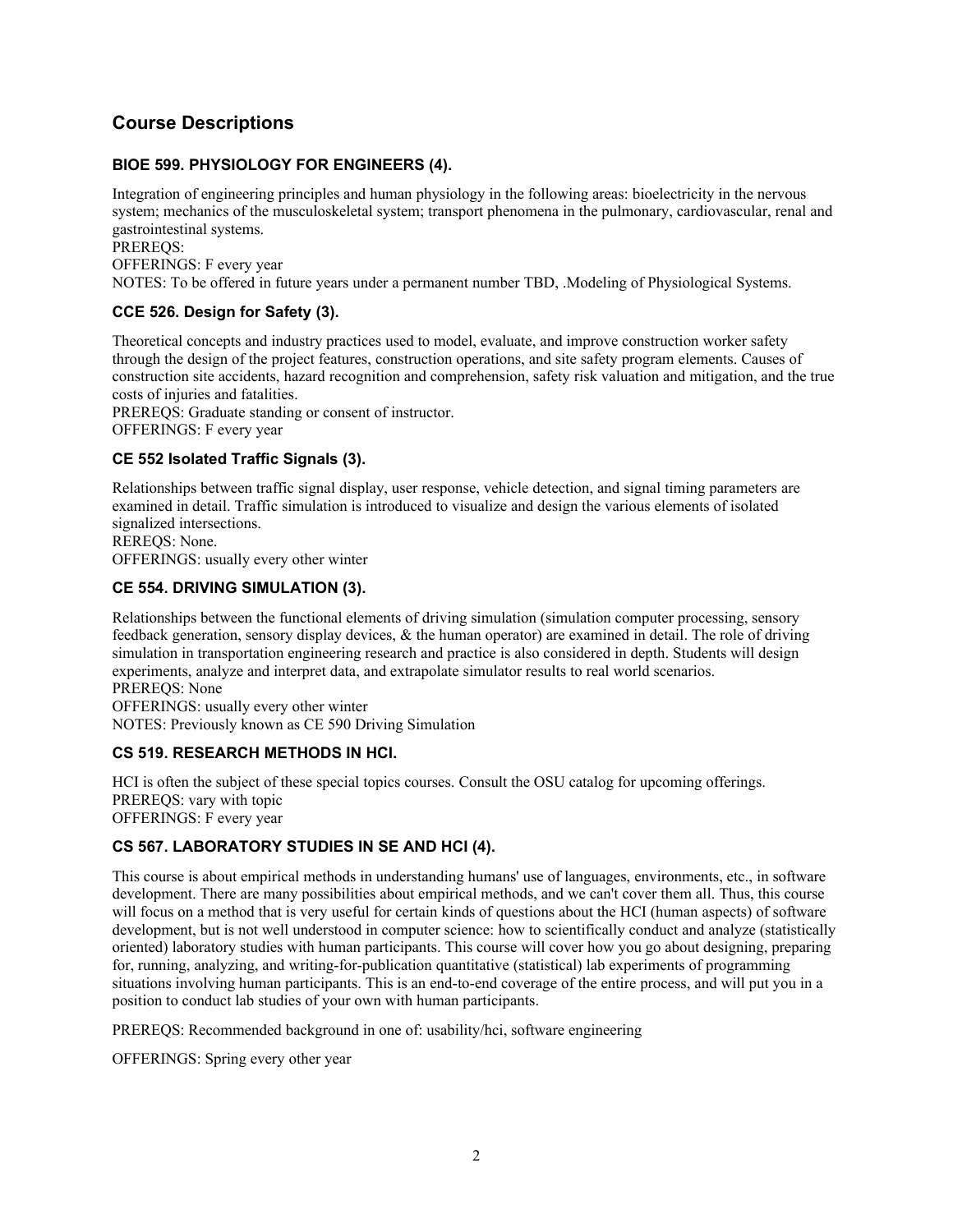## **Course Descriptions**

### **BIOE 599. PHYSIOLOGY FOR ENGINEERS (4).**

Integration of engineering principles and human physiology in the following areas: bioelectricity in the nervous system; mechanics of the musculoskeletal system; transport phenomena in the pulmonary, cardiovascular, renal and gastrointestinal systems. PREREQS:

OFFERINGS: F every year NOTES: To be offered in future years under a permanent number TBD, .Modeling of Physiological Systems.

### **CCE 526. Design for Safety (3).**

Theoretical concepts and industry practices used to model, evaluate, and improve construction worker safety through the design of the project features, construction operations, and site safety program elements. Causes of construction site accidents, hazard recognition and comprehension, safety risk valuation and mitigation, and the true costs of injuries and fatalities.

PREREQS: Graduate standing or consent of instructor. OFFERINGS: F every year

### **CE 552 Isolated Traffic Signals (3).**

Relationships between traffic signal display, user response, vehicle detection, and signal timing parameters are examined in detail. Traffic simulation is introduced to visualize and design the various elements of isolated signalized intersections.

REREQS: None. OFFERINGS: usually every other winter

### **CE 554. DRIVING SIMULATION (3).**

Relationships between the functional elements of driving simulation (simulation computer processing, sensory feedback generation, sensory display devices, & the human operator) are examined in detail. The role of driving simulation in transportation engineering research and practice is also considered in depth. Students will design experiments, analyze and interpret data, and extrapolate simulator results to real world scenarios. PREREQS: None OFFERINGS: usually every other winter NOTES: Previously known as CE 590 Driving Simulation

### **CS 519. RESEARCH METHODS IN HCI.**

HCI is often the subject of these special topics courses. Consult the OSU catalog for upcoming offerings. PREREQS: vary with topic OFFERINGS: F every year

## **CS 567. LABORATORY STUDIES IN SE AND HCI (4).**

This course is about empirical methods in understanding humans' use of languages, environments, etc., in software development. There are many possibilities about empirical methods, and we can't cover them all. Thus, this course will focus on a method that is very useful for certain kinds of questions about the HCI (human aspects) of software development, but is not well understood in computer science: how to scientifically conduct and analyze (statistically oriented) laboratory studies with human participants. This course will cover how you go about designing, preparing for, running, analyzing, and writing-for-publication quantitative (statistical) lab experiments of programming situations involving human participants. This is an end-to-end coverage of the entire process, and will put you in a position to conduct lab studies of your own with human participants.

PREREQS: Recommended background in one of: usability/hci, software engineering

OFFERINGS: Spring every other year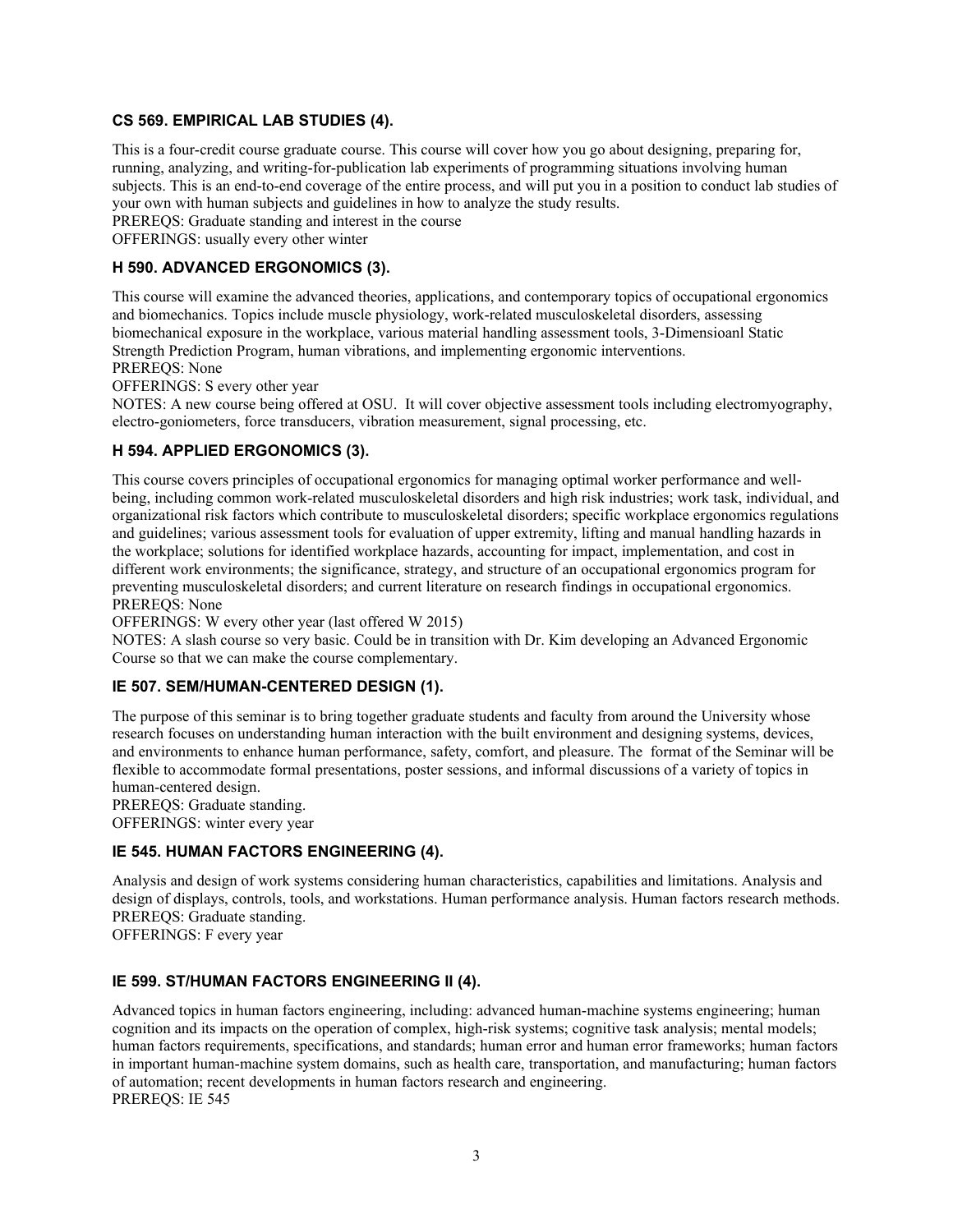#### **CS 569. EMPIRICAL LAB STUDIES (4).**

This is a four-credit course graduate course. This course will cover how you go about designing, preparing for, running, analyzing, and writing-for-publication lab experiments of programming situations involving human subjects. This is an end-to-end coverage of the entire process, and will put you in a position to conduct lab studies of your own with human subjects and guidelines in how to analyze the study results. PREREQS: Graduate standing and interest in the course

OFFERINGS: usually every other winter

#### **H 590. ADVANCED ERGONOMICS (3).**

This course will examine the advanced theories, applications, and contemporary topics of occupational ergonomics and biomechanics. Topics include muscle physiology, work-related musculoskeletal disorders, assessing biomechanical exposure in the workplace, various material handling assessment tools, 3-Dimensioanl Static Strength Prediction Program, human vibrations, and implementing ergonomic interventions.

PREREQS: None

OFFERINGS: S every other year

NOTES: A new course being offered at OSU. It will cover objective assessment tools including electromyography, electro-goniometers, force transducers, vibration measurement, signal processing, etc.

#### **H 594. APPLIED ERGONOMICS (3).**

This course covers principles of occupational ergonomics for managing optimal worker performance and wellbeing, including common work-related musculoskeletal disorders and high risk industries; work task, individual, and organizational risk factors which contribute to musculoskeletal disorders; specific workplace ergonomics regulations and guidelines; various assessment tools for evaluation of upper extremity, lifting and manual handling hazards in the workplace; solutions for identified workplace hazards, accounting for impact, implementation, and cost in different work environments; the significance, strategy, and structure of an occupational ergonomics program for preventing musculoskeletal disorders; and current literature on research findings in occupational ergonomics. PREREQS: None

OFFERINGS: W every other year (last offered W 2015)

NOTES: A slash course so very basic. Could be in transition with Dr. Kim developing an Advanced Ergonomic Course so that we can make the course complementary.

#### **IE 507. SEM/HUMAN-CENTERED DESIGN (1).**

The purpose of this seminar is to bring together graduate students and faculty from around the University whose research focuses on understanding human interaction with the built environment and designing systems, devices, and environments to enhance human performance, safety, comfort, and pleasure. The format of the Seminar will be flexible to accommodate formal presentations, poster sessions, and informal discussions of a variety of topics in human-centered design.

PREREQS: Graduate standing. OFFERINGS: winter every year

**IE 545. HUMAN FACTORS ENGINEERING (4).**

Analysis and design of work systems considering human characteristics, capabilities and limitations. Analysis and design of displays, controls, tools, and workstations. Human performance analysis. Human factors research methods. PREREQS: Graduate standing.

OFFERINGS: F every year

#### **IE 599. ST/HUMAN FACTORS ENGINEERING II (4).**

Advanced topics in human factors engineering, including: advanced human-machine systems engineering; human cognition and its impacts on the operation of complex, high-risk systems; cognitive task analysis; mental models; human factors requirements, specifications, and standards; human error and human error frameworks; human factors in important human-machine system domains, such as health care, transportation, and manufacturing; human factors of automation; recent developments in human factors research and engineering. PREREQS: IE 545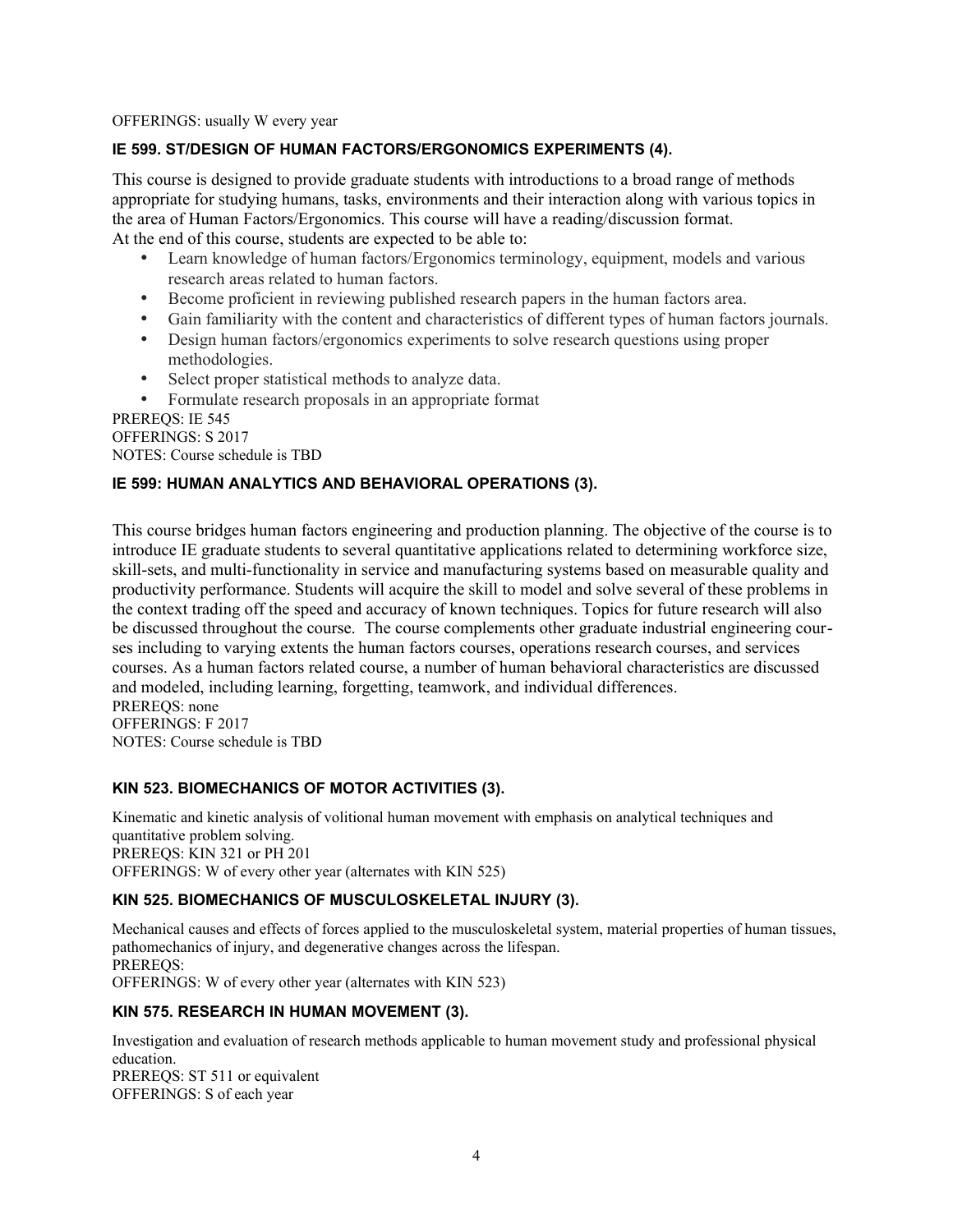OFFERINGS: usually W every year

## **IE 599. ST/DESIGN OF HUMAN FACTORS/ERGONOMICS EXPERIMENTS (4).**

This course is designed to provide graduate students with introductions to a broad range of methods appropriate for studying humans, tasks, environments and their interaction along with various topics in the area of Human Factors/Ergonomics. This course will have a reading/discussion format. At the end of this course, students are expected to be able to:

- Learn knowledge of human factors/Ergonomics terminology, equipment, models and various research areas related to human factors.
- Become proficient in reviewing published research papers in the human factors area.
- Gain familiarity with the content and characteristics of different types of human factors journals.
- Design human factors/ergonomics experiments to solve research questions using proper methodologies.
- Select proper statistical methods to analyze data.
- Formulate research proposals in an appropriate format

PREREQS: IE 545 OFFERINGS: S 2017 NOTES: Course schedule is TBD

## **IE 599: HUMAN ANALYTICS AND BEHAVIORAL OPERATIONS (3).**

This course bridges human factors engineering and production planning. The objective of the course is to introduce IE graduate students to several quantitative applications related to determining workforce size, skill-sets, and multi-functionality in service and manufacturing systems based on measurable quality and productivity performance. Students will acquire the skill to model and solve several of these problems in the context trading off the speed and accuracy of known techniques. Topics for future research will also be discussed throughout the course. The course complements other graduate industrial engineering courses including to varying extents the human factors courses, operations research courses, and services courses. As a human factors related course, a number of human behavioral characteristics are discussed and modeled, including learning, forgetting, teamwork, and individual differences. PREREQS: none OFFERINGS: F 2017

NOTES: Course schedule is TBD

### **KIN 523. BIOMECHANICS OF MOTOR ACTIVITIES (3).**

Kinematic and kinetic analysis of volitional human movement with emphasis on analytical techniques and quantitative problem solving. PREREQS: KIN 321 or PH 201 OFFERINGS: W of every other year (alternates with KIN 525)

### **KIN 525. BIOMECHANICS OF MUSCULOSKELETAL INJURY (3).**

Mechanical causes and effects of forces applied to the musculoskeletal system, material properties of human tissues, pathomechanics of injury, and degenerative changes across the lifespan. PREREQS: OFFERINGS: W of every other year (alternates with KIN 523)

### **KIN 575. RESEARCH IN HUMAN MOVEMENT (3).**

Investigation and evaluation of research methods applicable to human movement study and professional physical education. PREREQS: ST 511 or equivalent OFFERINGS: S of each year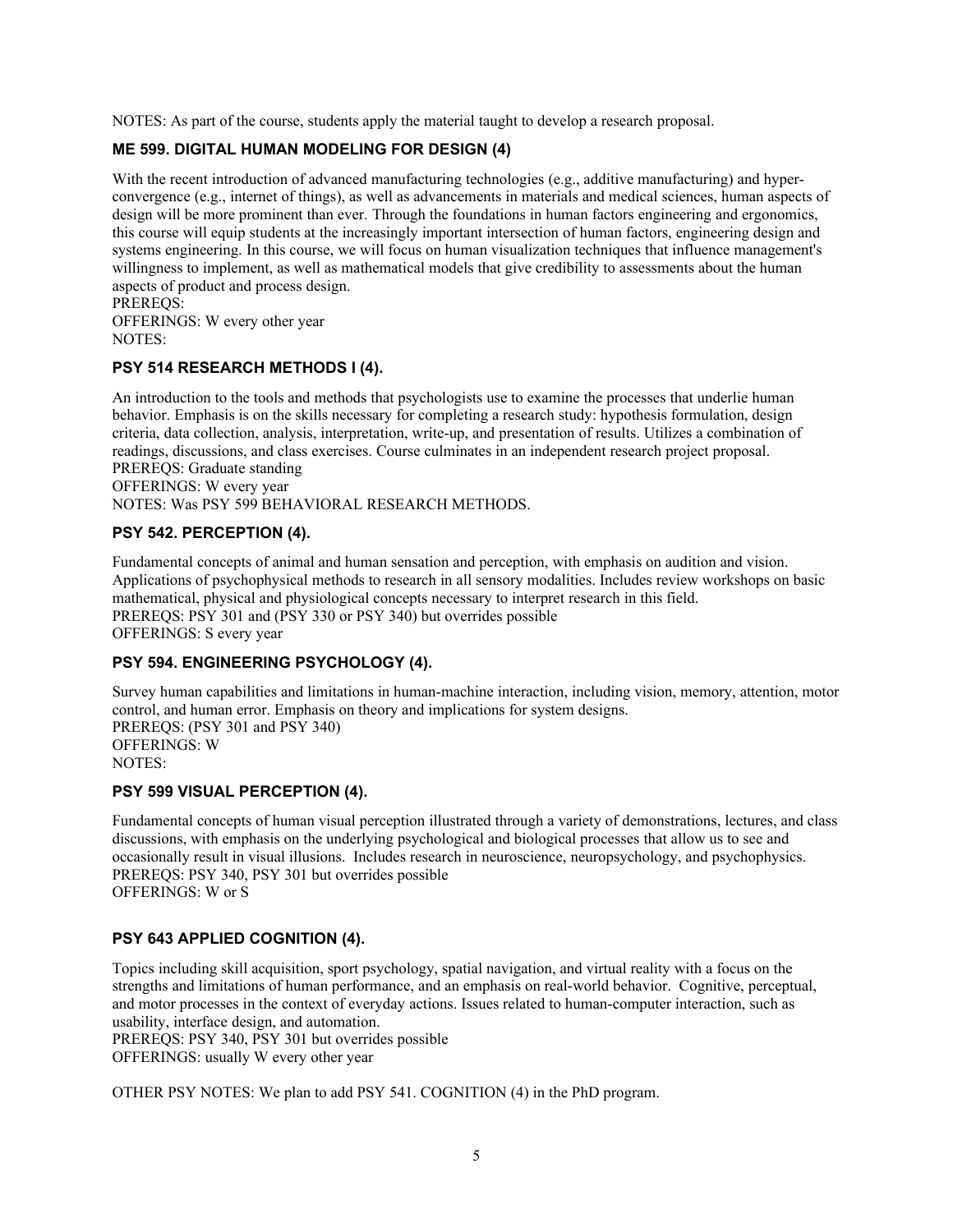NOTES: As part of the course, students apply the material taught to develop a research proposal.

## **ME 599. DIGITAL HUMAN MODELING FOR DESIGN (4)**

With the recent introduction of advanced manufacturing technologies (e.g., additive manufacturing) and hyperconvergence (e.g., internet of things), as well as advancements in materials and medical sciences, human aspects of design will be more prominent than ever. Through the foundations in human factors engineering and ergonomics, this course will equip students at the increasingly important intersection of human factors, engineering design and systems engineering. In this course, we will focus on human visualization techniques that influence management's willingness to implement, as well as mathematical models that give credibility to assessments about the human aspects of product and process design.

PREREQS: OFFERINGS: W every other year NOTES:

#### **PSY 514 RESEARCH METHODS I (4).**

An introduction to the tools and methods that psychologists use to examine the processes that underlie human behavior. Emphasis is on the skills necessary for completing a research study: hypothesis formulation, design criteria, data collection, analysis, interpretation, write-up, and presentation of results. Utilizes a combination of readings, discussions, and class exercises. Course culminates in an independent research project proposal. PREREQS: Graduate standing OFFERINGS: W every year

NOTES: Was PSY 599 BEHAVIORAL RESEARCH METHODS.

#### **PSY 542. PERCEPTION (4).**

Fundamental concepts of animal and human sensation and perception, with emphasis on audition and vision. Applications of psychophysical methods to research in all sensory modalities. Includes review workshops on basic mathematical, physical and physiological concepts necessary to interpret research in this field. PREREQS: PSY 301 and (PSY 330 or PSY 340) but overrides possible OFFERINGS: S every year

### **PSY 594. ENGINEERING PSYCHOLOGY (4).**

Survey human capabilities and limitations in human-machine interaction, including vision, memory, attention, motor control, and human error. Emphasis on theory and implications for system designs. PREREQS: (PSY 301 and PSY 340) OFFERINGS: W NOTES:

#### **PSY 599 VISUAL PERCEPTION (4).**

Fundamental concepts of human visual perception illustrated through a variety of demonstrations, lectures, and class discussions, with emphasis on the underlying psychological and biological processes that allow us to see and occasionally result in visual illusions. Includes research in neuroscience, neuropsychology, and psychophysics. PREREQS: PSY 340, PSY 301 but overrides possible OFFERINGS: W or S

#### **PSY 643 APPLIED COGNITION (4).**

Topics including skill acquisition, sport psychology, spatial navigation, and virtual reality with a focus on the strengths and limitations of human performance, and an emphasis on real-world behavior. Cognitive, perceptual, and motor processes in the context of everyday actions. Issues related to human-computer interaction, such as usability, interface design, and automation.

PREREQS: PSY 340, PSY 301 but overrides possible

OFFERINGS: usually W every other year

OTHER PSY NOTES: We plan to add PSY 541. COGNITION (4) in the PhD program.